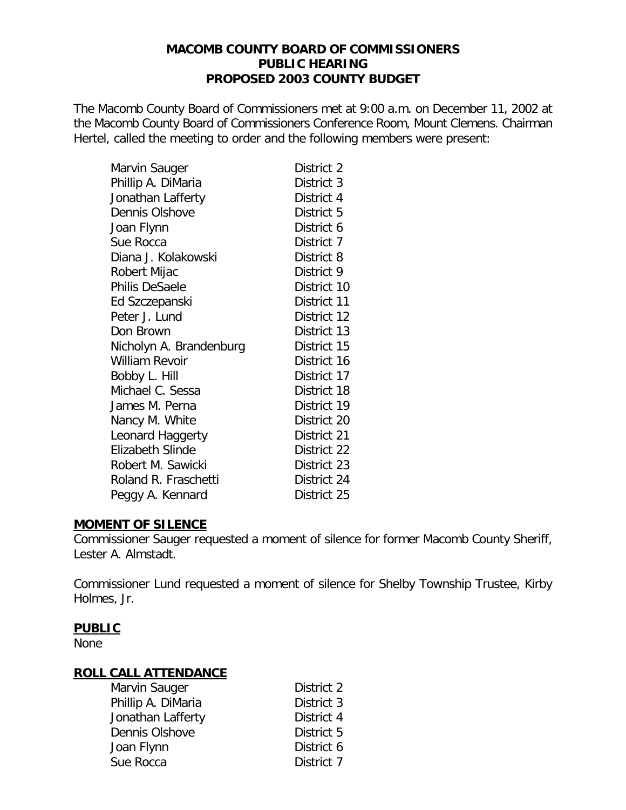#### **MACOMB COUNTY BOARD OF COMMISSIONERS PUBLIC HEARING PROPOSED 2003 COUNTY BUDGET**

The Macomb County Board of Commissioners met at 9:00 a.m. on December 11, 2002 at the Macomb County Board of Commissioners Conference Room, Mount Clemens. Chairman Hertel, called the meeting to order and the following members were present:

| Marvin Sauger           | District 2  |
|-------------------------|-------------|
| Phillip A. DiMaria      | District 3  |
| Jonathan Lafferty       | District 4  |
| Dennis Olshove          | District 5  |
| Joan Flynn              | District 6  |
| Sue Rocca               | District 7  |
| Diana J. Kolakowski     | District 8  |
| Robert Mijac            | District 9  |
| Philis DeSaele          | District 10 |
| Ed Szczepanski          | District 11 |
| Peter J. Lund           | District 12 |
| Don Brown               | District 13 |
| Nicholyn A. Brandenburg | District 15 |
| <b>William Revoir</b>   | District 16 |
| Bobby L. Hill           | District 17 |
| Michael C. Sessa        | District 18 |
| James M. Perna          | District 19 |
| Nancy M. White          | District 20 |
| Leonard Haggerty        | District 21 |
| Elizabeth Slinde        | District 22 |
| Robert M. Sawicki       | District 23 |
| Roland R. Fraschetti    | District 24 |
| Peggy A. Kennard        | District 25 |

#### **MOMENT OF SILENCE**

Commissioner Sauger requested a moment of silence for former Macomb County Sheriff, Lester A. Almstadt.

Commissioner Lund requested a moment of silence for Shelby Township Trustee, Kirby Holmes, Jr.

## **PUBLIC**

None

## **ROLL CALL ATTENDANCE**

| Marvin Sauger      | District 2 |
|--------------------|------------|
| Phillip A. DiMaria | District 3 |
| Jonathan Lafferty  | District 4 |
| Dennis Olshove     | District 5 |
| Joan Flynn         | District 6 |
| Sue Rocca          | District 7 |